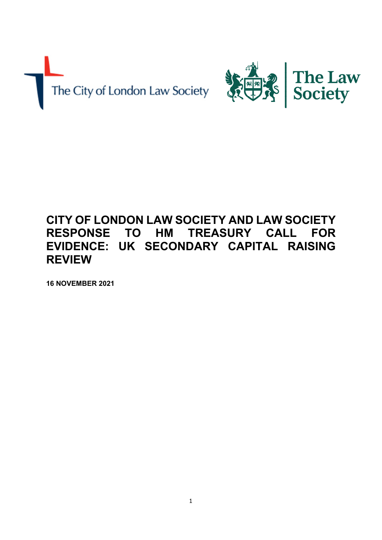The City of London Law Society



# **CITY OF LONDON LAW SOCIETY AND LAW SOCIETY RESPONSE TO HM TREASURY CALL FOR EVIDENCE: UK SECONDARY CAPITAL RAISING REVIEW**

**16 NOVEMBER 2021**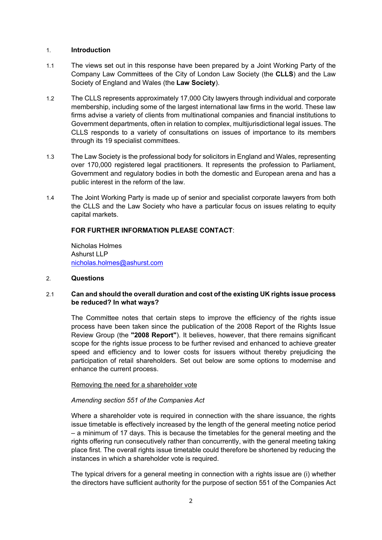## 1. **Introduction**

- 1.1 The views set out in this response have been prepared by a Joint Working Party of the Company Law Committees of the City of London Law Society (the **CLLS**) and the Law Society of England and Wales (the **Law Society**).
- 1.2 The CLLS represents approximately 17,000 City lawyers through individual and corporate membership, including some of the largest international law firms in the world. These law firms advise a variety of clients from multinational companies and financial institutions to Government departments, often in relation to complex, multijurisdictional legal issues. The CLLS responds to a variety of consultations on issues of importance to its members through its 19 specialist committees.
- 1.3 The Law Society is the professional body for solicitors in England and Wales, representing over 170,000 registered legal practitioners. It represents the profession to Parliament, Government and regulatory bodies in both the domestic and European arena and has a public interest in the reform of the law.
- 1.4 The Joint Working Party is made up of senior and specialist corporate lawyers from both the CLLS and the Law Society who have a particular focus on issues relating to equity capital markets.

# **FOR FURTHER INFORMATION PLEASE CONTACT**:

Nicholas Holmes Ashurst LLP [nicholas.holmes@ashurst.com](mailto:nicholas.holmes@ashurst.com)

## 2. **Questions**

# 2.1 **Can and should the overall duration and cost of the existing UK rights issue process be reduced? In what ways?**

The Committee notes that certain steps to improve the efficiency of the rights issue process have been taken since the publication of the 2008 Report of the Rights Issue Review Group (the **"2008 Report"**). It believes, however, that there remains significant scope for the rights issue process to be further revised and enhanced to achieve greater speed and efficiency and to lower costs for issuers without thereby prejudicing the participation of retail shareholders. Set out below are some options to modernise and enhance the current process.

## Removing the need for a shareholder vote

# *Amending section 551 of the Companies Act*

Where a shareholder vote is required in connection with the share issuance, the rights issue timetable is effectively increased by the length of the general meeting notice period – a minimum of 17 days. This is because the timetables for the general meeting and the rights offering run consecutively rather than concurrently, with the general meeting taking place first. The overall rights issue timetable could therefore be shortened by reducing the instances in which a shareholder vote is required.

The typical drivers for a general meeting in connection with a rights issue are (i) whether the directors have sufficient authority for the purpose of section 551 of the Companies Act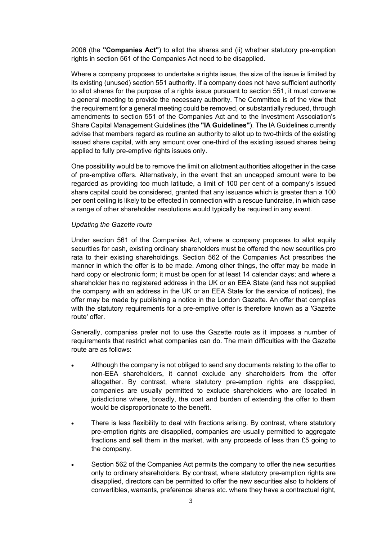2006 (the **"Companies Act"**) to allot the shares and (ii) whether statutory pre-emption rights in section 561 of the Companies Act need to be disapplied.

Where a company proposes to undertake a rights issue, the size of the issue is limited by its existing (unused) section 551 authority. If a company does not have sufficient authority to allot shares for the purpose of a rights issue pursuant to section 551, it must convene a general meeting to provide the necessary authority. The Committee is of the view that the requirement for a general meeting could be removed, or substantially reduced, through amendments to section 551 of the Companies Act and to the Investment Association's Share Capital Management Guidelines (the **"IA Guidelines"**). The IA Guidelines currently advise that members regard as routine an authority to allot up to two-thirds of the existing issued share capital, with any amount over one-third of the existing issued shares being applied to fully pre-emptive rights issues only.

One possibility would be to remove the limit on allotment authorities altogether in the case of pre-emptive offers. Alternatively, in the event that an uncapped amount were to be regarded as providing too much latitude, a limit of 100 per cent of a company's issued share capital could be considered, granted that any issuance which is greater than a 100 per cent ceiling is likely to be effected in connection with a rescue fundraise, in which case a range of other shareholder resolutions would typically be required in any event.

## *Updating the Gazette route*

Under section 561 of the Companies Act, where a company proposes to allot equity securities for cash, existing ordinary shareholders must be offered the new securities pro rata to their existing shareholdings. Section 562 of the Companies Act prescribes the manner in which the offer is to be made. Among other things, the offer may be made in hard copy or electronic form; it must be open for at least 14 calendar days; and where a shareholder has no registered address in the UK or an EEA State (and has not supplied the company with an address in the UK or an EEA State for the service of notices), the offer may be made by publishing a notice in the London Gazette. An offer that complies with the statutory requirements for a pre-emptive offer is therefore known as a 'Gazette route' offer.

Generally, companies prefer not to use the Gazette route as it imposes a number of requirements that restrict what companies can do. The main difficulties with the Gazette route are as follows:

- Although the company is not obliged to send any documents relating to the offer to non-EEA shareholders, it cannot exclude any shareholders from the offer altogether. By contrast, where statutory pre-emption rights are disapplied, companies are usually permitted to exclude shareholders who are located in jurisdictions where, broadly, the cost and burden of extending the offer to them would be disproportionate to the benefit.
- There is less flexibility to deal with fractions arising. By contrast, where statutory pre-emption rights are disapplied, companies are usually permitted to aggregate fractions and sell them in the market, with any proceeds of less than £5 going to the company.
- Section 562 of the Companies Act permits the company to offer the new securities only to ordinary shareholders. By contrast, where statutory pre-emption rights are disapplied, directors can be permitted to offer the new securities also to holders of convertibles, warrants, preference shares etc. where they have a contractual right,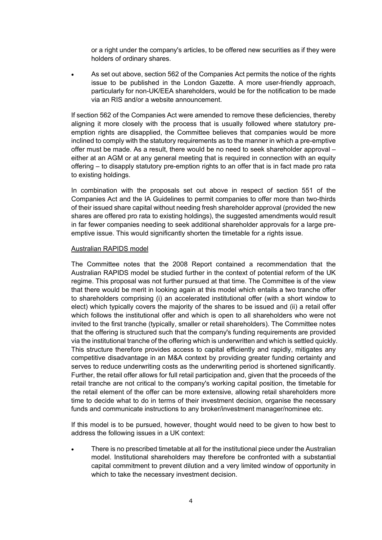or a right under the company's articles, to be offered new securities as if they were holders of ordinary shares.

 As set out above, section 562 of the Companies Act permits the notice of the rights issue to be published in the London Gazette. A more user-friendly approach, particularly for non-UK/EEA shareholders, would be for the notification to be made via an RIS and/or a website announcement.

If section 562 of the Companies Act were amended to remove these deficiencies, thereby aligning it more closely with the process that is usually followed where statutory preemption rights are disapplied, the Committee believes that companies would be more inclined to comply with the statutory requirements as to the manner in which a pre-emptive offer must be made. As a result, there would be no need to seek shareholder approval – either at an AGM or at any general meeting that is required in connection with an equity offering – to disapply statutory pre-emption rights to an offer that is in fact made pro rata to existing holdings.

In combination with the proposals set out above in respect of section 551 of the Companies Act and the IA Guidelines to permit companies to offer more than two-thirds of their issued share capital without needing fresh shareholder approval (provided the new shares are offered pro rata to existing holdings), the suggested amendments would result in far fewer companies needing to seek additional shareholder approvals for a large preemptive issue. This would significantly shorten the timetable for a rights issue.

#### Australian RAPIDS model

The Committee notes that the 2008 Report contained a recommendation that the Australian RAPIDS model be studied further in the context of potential reform of the UK regime. This proposal was not further pursued at that time. The Committee is of the view that there would be merit in looking again at this model which entails a two tranche offer to shareholders comprising (i) an accelerated institutional offer (with a short window to elect) which typically covers the majority of the shares to be issued and (ii) a retail offer which follows the institutional offer and which is open to all shareholders who were not invited to the first tranche (typically, smaller or retail shareholders). The Committee notes that the offering is structured such that the company's funding requirements are provided via the institutional tranche of the offering which is underwritten and which is settled quickly. This structure therefore provides access to capital efficiently and rapidly, mitigates any competitive disadvantage in an M&A context by providing greater funding certainty and serves to reduce underwriting costs as the underwriting period is shortened significantly. Further, the retail offer allows for full retail participation and, given that the proceeds of the retail tranche are not critical to the company's working capital position, the timetable for the retail element of the offer can be more extensive, allowing retail shareholders more time to decide what to do in terms of their investment decision, organise the necessary funds and communicate instructions to any broker/investment manager/nominee etc.

If this model is to be pursued, however, thought would need to be given to how best to address the following issues in a UK context:

 There is no prescribed timetable at all for the institutional piece under the Australian model. Institutional shareholders may therefore be confronted with a substantial capital commitment to prevent dilution and a very limited window of opportunity in which to take the necessary investment decision.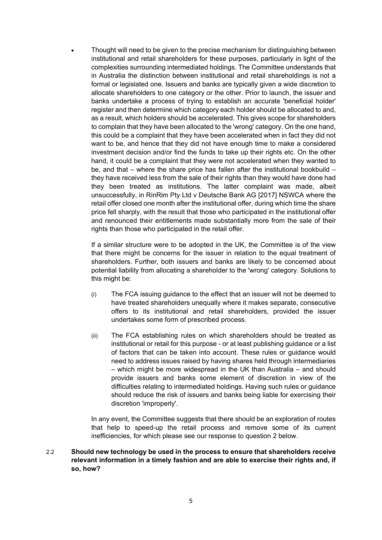Thought will need to be given to the precise mechanism for distinguishing between institutional and retail shareholders for these purposes, particularly in light of the complexities surrounding intermediated holdings. The Committee understands that in Australia the distinction between institutional and retail shareholdings is not a formal or legislated one. Issuers and banks are typically given a wide discretion to allocate shareholders to one category or the other. Prior to launch, the issuer and banks undertake a process of trying to establish an accurate 'beneficial holder' register and then determine which category each holder should be allocated to and, as a result, which holders should be accelerated. This gives scope for shareholders to complain that they have been allocated to the 'wrong' category. On the one hand, this could be a complaint that they have been accelerated when in fact they did not want to be, and hence that they did not have enough time to make a considered investment decision and/or find the funds to take up their rights etc. On the other hand, it could be a complaint that they were not accelerated when they wanted to be, and that – where the share price has fallen after the institutional bookbuild – they have received less from the sale of their rights than they would have done had they been treated as institutions. The latter complaint was made, albeit unsuccessfully, in RinRim Pty Ltd v Deutsche Bank AG [2017] NSWCA where the retail offer closed one month after the institutional offer, during which time the share price fell sharply, with the result that those who participated in the institutional offer and renounced their entitlements made substantially more from the sale of their rights than those who participated in the retail offer.

If a similar structure were to be adopted in the UK, the Committee is of the view that there might be concerns for the issuer in relation to the equal treatment of shareholders. Further, both issuers and banks are likely to be concerned about potential liability from allocating a shareholder to the 'wrong' category. Solutions to this might be:

- (i) The FCA issuing guidance to the effect that an issuer will not be deemed to have treated shareholders unequally where it makes separate, consecutive offers to its institutional and retail shareholders, provided the issuer undertakes some form of prescribed process.
- (ii) The FCA establishing rules on which shareholders should be treated as institutional or retail for this purpose - or at least publishing guidance or a list of factors that can be taken into account. These rules or guidance would need to address issues raised by having shares held through intermediaries – which might be more widespread in the UK than Australia – and should provide issuers and banks some element of discretion in view of the difficulties relating to intermediated holdings. Having such rules or guidance should reduce the risk of issuers and banks being liable for exercising their discretion 'improperly'.

In any event, the Committee suggests that there should be an exploration of routes that help to speed-up the retail process and remove some of its current inefficiencies, for which please see our response to question 2 below.

2.2 **Should new technology be used in the process to ensure that shareholders receive relevant information in a timely fashion and are able to exercise their rights and, if so, how?**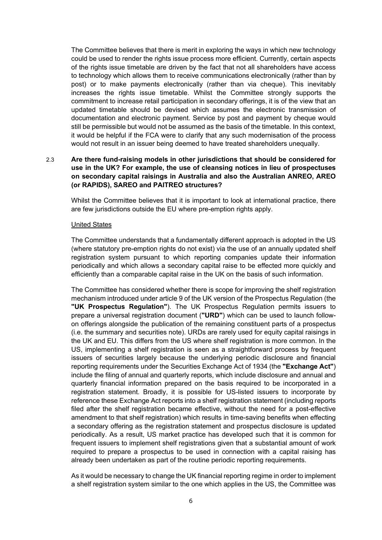The Committee believes that there is merit in exploring the ways in which new technology could be used to render the rights issue process more efficient. Currently, certain aspects of the rights issue timetable are driven by the fact that not all shareholders have access to technology which allows them to receive communications electronically (rather than by post) or to make payments electronically (rather than via cheque). This inevitably increases the rights issue timetable. Whilst the Committee strongly supports the commitment to increase retail participation in secondary offerings, it is of the view that an updated timetable should be devised which assumes the electronic transmission of documentation and electronic payment. Service by post and payment by cheque would still be permissible but would not be assumed as the basis of the timetable. In this context, it would be helpful if the FCA were to clarify that any such modernisation of the process would not result in an issuer being deemed to have treated shareholders unequally.

# 2.3 **Are there fund-raising models in other jurisdictions that should be considered for use in the UK? For example, the use of cleansing notices in lieu of prospectuses on secondary capital raisings in Australia and also the Australian ANREO, AREO (or RAPIDS), SAREO and PAITREO structures?**

Whilst the Committee believes that it is important to look at international practice, there are few jurisdictions outside the EU where pre-emption rights apply.

## United States

The Committee understands that a fundamentally different approach is adopted in the US (where statutory pre-emption rights do not exist) via the use of an annually updated shelf registration system pursuant to which reporting companies update their information periodically and which allows a secondary capital raise to be effected more quickly and efficiently than a comparable capital raise in the UK on the basis of such information.

The Committee has considered whether there is scope for improving the shelf registration mechanism introduced under article 9 of the UK version of the Prospectus Regulation (the **"UK Prospectus Regulation"**). The UK Prospectus Regulation permits issuers to prepare a universal registration document (**"URD"**) which can be used to launch followon offerings alongside the publication of the remaining constituent parts of a prospectus (i.e. the summary and securities note). URDs are rarely used for equity capital raisings in the UK and EU. This differs from the US where shelf registration is more common. In the US, implementing a shelf registration is seen as a straightforward process by frequent issuers of securities largely because the underlying periodic disclosure and financial reporting requirements under the Securities Exchange Act of 1934 (the **"Exchange Act"**) include the filing of annual and quarterly reports, which include disclosure and annual and quarterly financial information prepared on the basis required to be incorporated in a registration statement. Broadly, it is possible for US-listed issuers to incorporate by reference these Exchange Act reports into a shelf registration statement (including reports filed after the shelf registration became effective, without the need for a post-effective amendment to that shelf registration) which results in time-saving benefits when effecting a secondary offering as the registration statement and prospectus disclosure is updated periodically. As a result, US market practice has developed such that it is common for frequent issuers to implement shelf registrations given that a substantial amount of work required to prepare a prospectus to be used in connection with a capital raising has already been undertaken as part of the routine periodic reporting requirements.

As it would be necessary to change the UK financial reporting regime in order to implement a shelf registration system similar to the one which applies in the US, the Committee was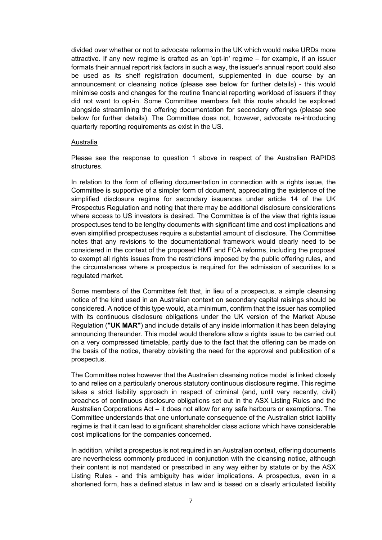divided over whether or not to advocate reforms in the UK which would make URDs more attractive. If any new regime is crafted as an 'opt-in' regime – for example, if an issuer formats their annual report risk factors in such a way, the issuer's annual report could also be used as its shelf registration document, supplemented in due course by an announcement or cleansing notice (please see below for further details) - this would minimise costs and changes for the routine financial reporting workload of issuers if they did not want to opt-in. Some Committee members felt this route should be explored alongside streamlining the offering documentation for secondary offerings (please see below for further details). The Committee does not, however, advocate re-introducing quarterly reporting requirements as exist in the US.

#### Australia

Please see the response to question 1 above in respect of the Australian RAPIDS structures.

In relation to the form of offering documentation in connection with a rights issue, the Committee is supportive of a simpler form of document, appreciating the existence of the simplified disclosure regime for secondary issuances under article 14 of the UK Prospectus Regulation and noting that there may be additional disclosure considerations where access to US investors is desired. The Committee is of the view that rights issue prospectuses tend to be lengthy documents with significant time and cost implications and even simplified prospectuses require a substantial amount of disclosure. The Committee notes that any revisions to the documentational framework would clearly need to be considered in the context of the proposed HMT and FCA reforms, including the proposal to exempt all rights issues from the restrictions imposed by the public offering rules, and the circumstances where a prospectus is required for the admission of securities to a regulated market.

Some members of the Committee felt that, in lieu of a prospectus, a simple cleansing notice of the kind used in an Australian context on secondary capital raisings should be considered. A notice of this type would, at a minimum, confirm that the issuer has complied with its continuous disclosure obligations under the UK version of the Market Abuse Regulation (**"UK MAR"**) and include details of any inside information it has been delaying announcing thereunder. This model would therefore allow a rights issue to be carried out on a very compressed timetable, partly due to the fact that the offering can be made on the basis of the notice, thereby obviating the need for the approval and publication of a prospectus.

The Committee notes however that the Australian cleansing notice model is linked closely to and relies on a particularly onerous statutory continuous disclosure regime. This regime takes a strict liability approach in respect of criminal (and, until very recently, civil) breaches of continuous disclosure obligations set out in the ASX Listing Rules and the Australian Corporations Act – it does not allow for any safe harbours or exemptions. The Committee understands that one unfortunate consequence of the Australian strict liability regime is that it can lead to significant shareholder class actions which have considerable cost implications for the companies concerned.

In addition, whilst a prospectus is not required in an Australian context, offering documents are nevertheless commonly produced in conjunction with the cleansing notice, although their content is not mandated or prescribed in any way either by statute or by the ASX Listing Rules - and this ambiguity has wider implications. A prospectus, even in a shortened form, has a defined status in law and is based on a clearly articulated liability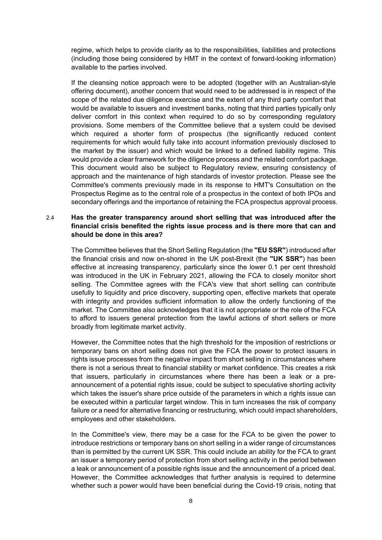regime, which helps to provide clarity as to the responsibilities, liabilities and protections (including those being considered by HMT in the context of forward-looking information) available to the parties involved.

If the cleansing notice approach were to be adopted (together with an Australian-style offering document), another concern that would need to be addressed is in respect of the scope of the related due diligence exercise and the extent of any third party comfort that would be available to issuers and investment banks, noting that third parties typically only deliver comfort in this context when required to do so by corresponding regulatory provisions. Some members of the Committee believe that a system could be devised which required a shorter form of prospectus (the significantly reduced content requirements for which would fully take into account information previously disclosed to the market by the issuer) and which would be linked to a defined liability regime. This would provide a clear framework for the diligence process and the related comfort package. This document would also be subject to Regulatory review, ensuring consistency of approach and the maintenance of high standards of investor protection. Please see the Committee's comments previously made in its response to HMT's Consultation on the Prospectus Regime as to the central role of a prospectus in the context of both IPOs and secondary offerings and the importance of retaining the FCA prospectus approval process.

## 2.4 **Has the greater transparency around short selling that was introduced after the financial crisis benefited the rights issue process and is there more that can and should be done in this area?**

The Committee believes that the Short Selling Regulation (the **"EU SSR"**) introduced after the financial crisis and now on-shored in the UK post-Brexit (the **"UK SSR"**) has been effective at increasing transparency, particularly since the lower 0.1 per cent threshold was introduced in the UK in February 2021, allowing the FCA to closely monitor short selling. The Committee agrees with the FCA's view that short selling can contribute usefully to liquidity and price discovery, supporting open, effective markets that operate with integrity and provides sufficient information to allow the orderly functioning of the market. The Committee also acknowledges that it is not appropriate or the role of the FCA to afford to issuers general protection from the lawful actions of short sellers or more broadly from legitimate market activity.

However, the Committee notes that the high threshold for the imposition of restrictions or temporary bans on short selling does not give the FCA the power to protect issuers in rights issue processes from the negative impact from short selling in circumstances where there is not a serious threat to financial stability or market confidence. This creates a risk that issuers, particularly in circumstances where there has been a leak or a preannouncement of a potential rights issue, could be subject to speculative shorting activity which takes the issuer's share price outside of the parameters in which a rights issue can be executed within a particular target window. This in turn increases the risk of company failure or a need for alternative financing or restructuring, which could impact shareholders, employees and other stakeholders.

In the Committee's view, there may be a case for the FCA to be given the power to introduce restrictions or temporary bans on short selling in a wider range of circumstances than is permitted by the current UK SSR. This could include an ability for the FCA to grant an issuer a temporary period of protection from short selling activity in the period between a leak or announcement of a possible rights issue and the announcement of a priced deal. However, the Committee acknowledges that further analysis is required to determine whether such a power would have been beneficial during the Covid-19 crisis, noting that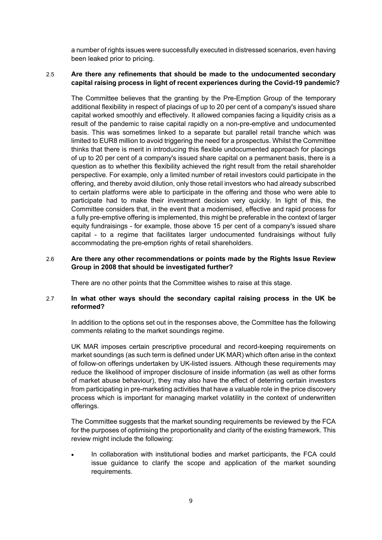a number of rights issues were successfully executed in distressed scenarios, even having been leaked prior to pricing.

## 2.5 **Are there any refinements that should be made to the undocumented secondary capital raising process in light of recent experiences during the Covid-19 pandemic?**

The Committee believes that the granting by the Pre-Emption Group of the temporary additional flexibility in respect of placings of up to 20 per cent of a company's issued share capital worked smoothly and effectively. It allowed companies facing a liquidity crisis as a result of the pandemic to raise capital rapidly on a non-pre-emptive and undocumented basis. This was sometimes linked to a separate but parallel retail tranche which was limited to EUR8 million to avoid triggering the need for a prospectus. Whilst the Committee thinks that there is merit in introducing this flexible undocumented approach for placings of up to 20 per cent of a company's issued share capital on a permanent basis, there is a question as to whether this flexibility achieved the right result from the retail shareholder perspective. For example, only a limited number of retail investors could participate in the offering, and thereby avoid dilution, only those retail investors who had already subscribed to certain platforms were able to participate in the offering and those who were able to participate had to make their investment decision very quickly. In light of this, the Committee considers that, in the event that a modernised, effective and rapid process for a fully pre-emptive offering is implemented, this might be preferable in the context of larger equity fundraisings - for example, those above 15 per cent of a company's issued share capital - to a regime that facilitates larger undocumented fundraisings without fully accommodating the pre-emption rights of retail shareholders.

## 2.6 **Are there any other recommendations or points made by the Rights Issue Review Group in 2008 that should be investigated further?**

There are no other points that the Committee wishes to raise at this stage.

# 2.7 **In what other ways should the secondary capital raising process in the UK be reformed?**

In addition to the options set out in the responses above, the Committee has the following comments relating to the market soundings regime.

UK MAR imposes certain prescriptive procedural and record-keeping requirements on market soundings (as such term is defined under UK MAR) which often arise in the context of follow-on offerings undertaken by UK-listed issuers. Although these requirements may reduce the likelihood of improper disclosure of inside information (as well as other forms of market abuse behaviour), they may also have the effect of deterring certain investors from participating in pre-marketing activities that have a valuable role in the price discovery process which is important for managing market volatility in the context of underwritten offerings.

The Committee suggests that the market sounding requirements be reviewed by the FCA for the purposes of optimising the proportionality and clarity of the existing framework. This review might include the following:

 In collaboration with institutional bodies and market participants, the FCA could issue guidance to clarify the scope and application of the market sounding requirements.